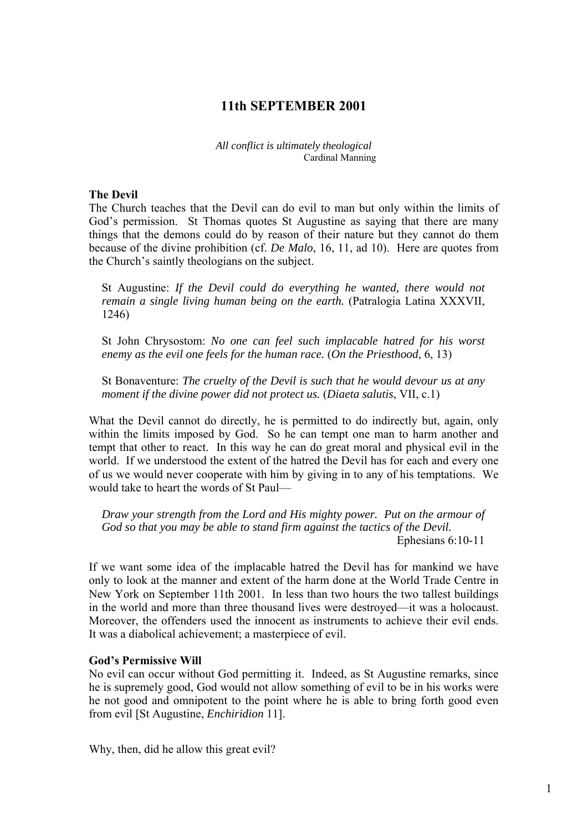# **11th SEPTEMBER 2001**

*All conflict is ultimately theological*  Cardinal Manning

#### **The Devil**

The Church teaches that the Devil can do evil to man but only within the limits of God's permission. St Thomas quotes St Augustine as saying that there are many things that the demons could do by reason of their nature but they cannot do them because of the divine prohibition (cf. *De Malo*, 16, 11, ad 10). Here are quotes from the Church's saintly theologians on the subject.

St Augustine: *If the Devil could do everything he wanted, there would not remain a single living human being on the earth.* (Patralogia Latina XXXVII, 1246)

St John Chrysostom: *No one can feel such implacable hatred for his worst enemy as the evil one feels for the human race.* (*On the Priesthood*, 6, 13)

St Bonaventure: *The cruelty of the Devil is such that he would devour us at any moment if the divine power did not protect us.* (*Diaeta salutis*, VII, c.1)

What the Devil cannot do directly, he is permitted to do indirectly but, again, only within the limits imposed by God. So he can tempt one man to harm another and tempt that other to react. In this way he can do great moral and physical evil in the world. If we understood the extent of the hatred the Devil has for each and every one of us we would never cooperate with him by giving in to any of his temptations. We would take to heart the words of St Paul––

*Draw your strength from the Lord and His mighty power. Put on the armour of God so that you may be able to stand firm against the tactics of the Devil.* Ephesians 6:10-11

If we want some idea of the implacable hatred the Devil has for mankind we have only to look at the manner and extent of the harm done at the World Trade Centre in New York on September 11th 2001. In less than two hours the two tallest buildings in the world and more than three thousand lives were destroyed––it was a holocaust. Moreover, the offenders used the innocent as instruments to achieve their evil ends. It was a diabolical achievement; a masterpiece of evil.

#### **God's Permissive Will**

No evil can occur without God permitting it. Indeed, as St Augustine remarks, since he is supremely good, God would not allow something of evil to be in his works were he not good and omnipotent to the point where he is able to bring forth good even from evil [St Augustine, *Enchiridion* 11].

Why, then, did he allow this great evil?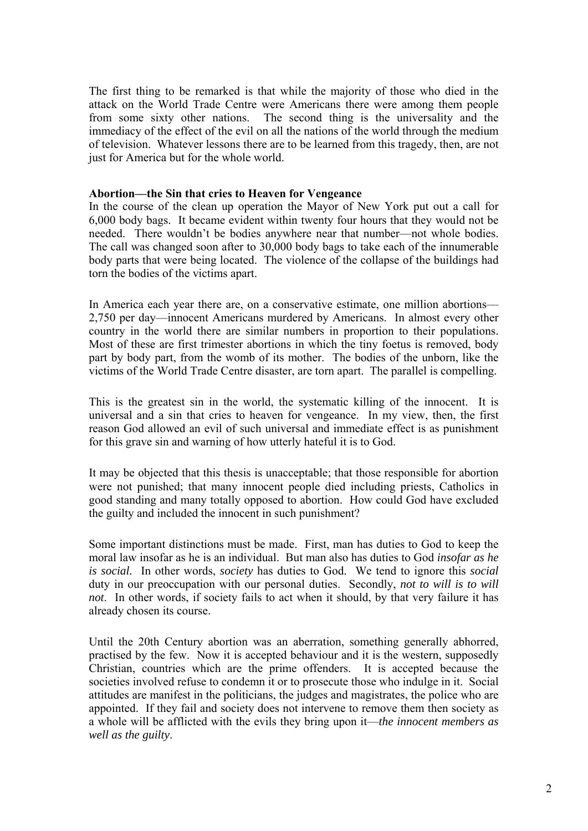The first thing to be remarked is that while the majority of those who died in the attack on the World Trade Centre were Americans there were among them people from some sixty other nations. The second thing is the universality and the immediacy of the effect of the evil on all the nations of the world through the medium of television. Whatever lessons there are to be learned from this tragedy, then, are not just for America but for the whole world.

### **Abortion––the Sin that cries to Heaven for Vengeance**

In the course of the clean up operation the Mayor of New York put out a call for 6,000 body bags. It became evident within twenty four hours that they would not be needed. There wouldn't be bodies anywhere near that number––not whole bodies. The call was changed soon after to 30,000 body bags to take each of the innumerable body parts that were being located. The violence of the collapse of the buildings had torn the bodies of the victims apart.

In America each year there are, on a conservative estimate, one million abortions–– 2,750 per day––innocent Americans murdered by Americans. In almost every other country in the world there are similar numbers in proportion to their populations. Most of these are first trimester abortions in which the tiny foetus is removed, body part by body part, from the womb of its mother. The bodies of the unborn, like the victims of the World Trade Centre disaster, are torn apart. The parallel is compelling.

This is the greatest sin in the world, the systematic killing of the innocent. It is universal and a sin that cries to heaven for vengeance. In my view, then, the first reason God allowed an evil of such universal and immediate effect is as punishment for this grave sin and warning of how utterly hateful it is to God.

It may be objected that this thesis is unacceptable; that those responsible for abortion were not punished; that many innocent people died including priests, Catholics in good standing and many totally opposed to abortion. How could God have excluded the guilty and included the innocent in such punishment?

Some important distinctions must be made. First, man has duties to God to keep the moral law insofar as he is an individual. But man also has duties to God *insofar as he is social.* In other words, *society* has duties to God. We tend to ignore this *social*  duty in our preoccupation with our personal duties. Secondly, *not to will is to will not*. In other words, if society fails to act when it should, by that very failure it has already chosen its course.

Until the 20th Century abortion was an aberration, something generally abhorred, practised by the few. Now it is accepted behaviour and it is the western, supposedly Christian, countries which are the prime offenders. It is accepted because the societies involved refuse to condemn it or to prosecute those who indulge in it. Social attitudes are manifest in the politicians, the judges and magistrates, the police who are appointed. If they fail and society does not intervene to remove them then society as a whole will be afflicted with the evils they bring upon it––*the innocent members as well as the guilty*.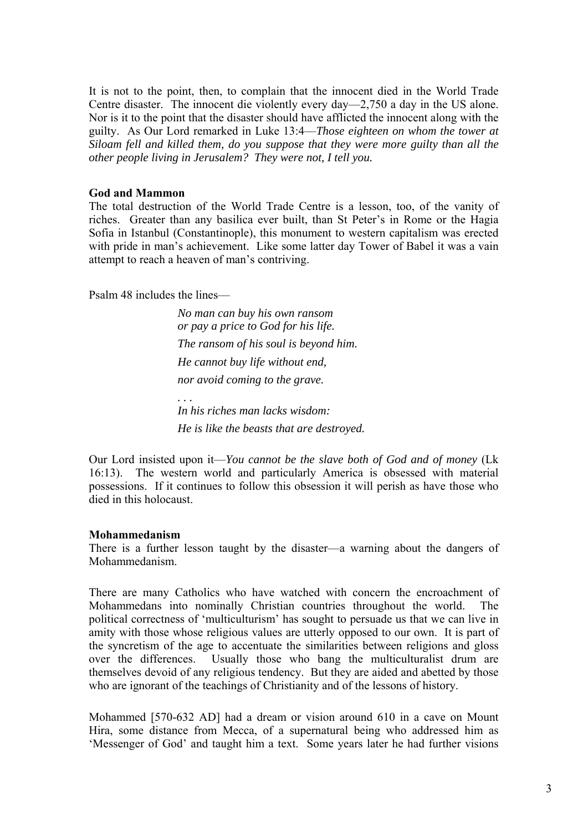It is not to the point, then, to complain that the innocent died in the World Trade Centre disaster. The innocent die violently every day––2,750 a day in the US alone. Nor is it to the point that the disaster should have afflicted the innocent along with the guilty. As Our Lord remarked in Luke 13:4––*Those eighteen on whom the tower at Siloam fell and killed them, do you suppose that they were more guilty than all the other people living in Jerusalem? They were not, I tell you.*

## **God and Mammon**

The total destruction of the World Trade Centre is a lesson, too, of the vanity of riches. Greater than any basilica ever built, than St Peter's in Rome or the Hagia Sofia in Istanbul (Constantinople), this monument to western capitalism was erected with pride in man's achievement. Like some latter day Tower of Babel it was a vain attempt to reach a heaven of man's contriving.

Psalm 48 includes the lines––

*No man can buy his own ransom or pay a price to God for his life. The ransom of his soul is beyond him. He cannot buy life without end, nor avoid coming to the grave. . . . In his riches man lacks wisdom: He is like the beasts that are destroyed.* 

Our Lord insisted upon it––*You cannot be the slave both of God and of money* (Lk 16:13). The western world and particularly America is obsessed with material possessions. If it continues to follow this obsession it will perish as have those who died in this holocaust.

## **Mohammedanism**

There is a further lesson taught by the disaster––a warning about the dangers of Mohammedanism.

There are many Catholics who have watched with concern the encroachment of Mohammedans into nominally Christian countries throughout the world. The political correctness of 'multiculturism' has sought to persuade us that we can live in amity with those whose religious values are utterly opposed to our own. It is part of the syncretism of the age to accentuate the similarities between religions and gloss over the differences. Usually those who bang the multiculturalist drum are themselves devoid of any religious tendency. But they are aided and abetted by those who are ignorant of the teachings of Christianity and of the lessons of history.

Mohammed [570-632 AD] had a dream or vision around 610 in a cave on Mount Hira, some distance from Mecca, of a supernatural being who addressed him as 'Messenger of God' and taught him a text. Some years later he had further visions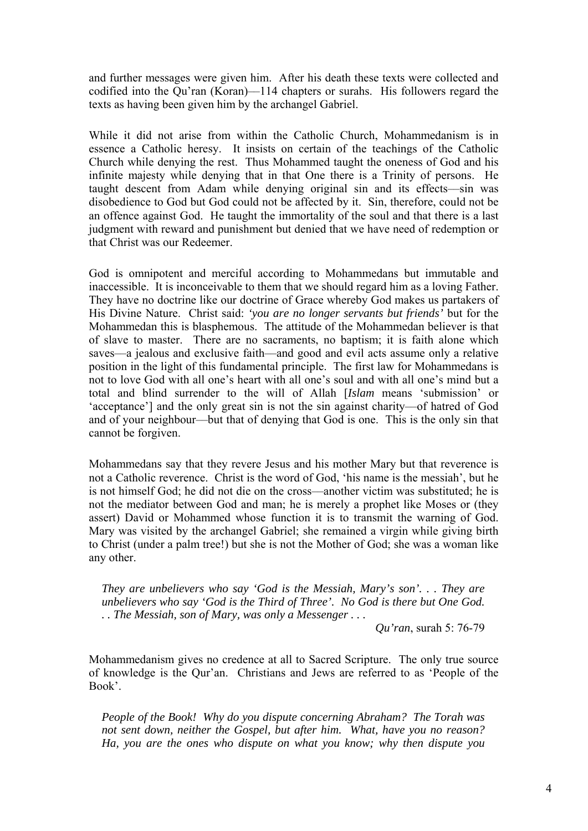and further messages were given him. After his death these texts were collected and codified into the Qu'ran (Koran)—114 chapters or surahs. His followers regard the texts as having been given him by the archangel Gabriel.

While it did not arise from within the Catholic Church, Mohammedanism is in essence a Catholic heresy. It insists on certain of the teachings of the Catholic Church while denying the rest. Thus Mohammed taught the oneness of God and his infinite majesty while denying that in that One there is a Trinity of persons. He taught descent from Adam while denying original sin and its effects––sin was disobedience to God but God could not be affected by it. Sin, therefore, could not be an offence against God. He taught the immortality of the soul and that there is a last judgment with reward and punishment but denied that we have need of redemption or that Christ was our Redeemer.

God is omnipotent and merciful according to Mohammedans but immutable and inaccessible. It is inconceivable to them that we should regard him as a loving Father. They have no doctrine like our doctrine of Grace whereby God makes us partakers of His Divine Nature. Christ said: *'you are no longer servants but friends'* but for the Mohammedan this is blasphemous. The attitude of the Mohammedan believer is that of slave to master. There are no sacraments, no baptism; it is faith alone which saves––a jealous and exclusive faith––and good and evil acts assume only a relative position in the light of this fundamental principle. The first law for Mohammedans is not to love God with all one's heart with all one's soul and with all one's mind but a total and blind surrender to the will of Allah [*Islam* means 'submission' or 'acceptance'] and the only great sin is not the sin against charity––of hatred of God and of your neighbour––but that of denying that God is one. This is the only sin that cannot be forgiven.

Mohammedans say that they revere Jesus and his mother Mary but that reverence is not a Catholic reverence. Christ is the word of God, 'his name is the messiah', but he is not himself God; he did not die on the cross––another victim was substituted; he is not the mediator between God and man; he is merely a prophet like Moses or (they assert) David or Mohammed whose function it is to transmit the warning of God. Mary was visited by the archangel Gabriel; she remained a virgin while giving birth to Christ (under a palm tree!) but she is not the Mother of God; she was a woman like any other.

*They are unbelievers who say 'God is the Messiah, Mary's son'. . . They are unbelievers who say 'God is the Third of Three'. No God is there but One God. . . The Messiah, son of Mary, was only a Messenger . . .* 

*Qu'ran*, surah 5: 76-79

Mohammedanism gives no credence at all to Sacred Scripture. The only true source of knowledge is the Qur'an. Christians and Jews are referred to as 'People of the Book'.

*People of the Book! Why do you dispute concerning Abraham? The Torah was not sent down, neither the Gospel, but after him. What, have you no reason? Ha, you are the ones who dispute on what you know; why then dispute you*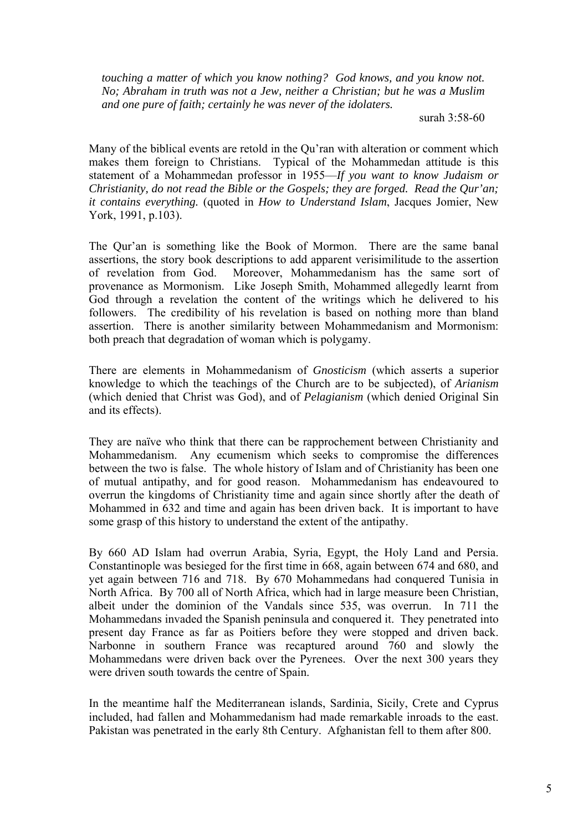*touching a matter of which you know nothing? God knows, and you know not. No; Abraham in truth was not a Jew, neither a Christian; but he was a Muslim and one pure of faith; certainly he was never of the idolaters.* 

surah 3:58-60

Many of the biblical events are retold in the Qu'ran with alteration or comment which makes them foreign to Christians. Typical of the Mohammedan attitude is this statement of a Mohammedan professor in 1955––*If you want to know Judaism or Christianity, do not read the Bible or the Gospels; they are forged. Read the Qur'an; it contains everything.* (quoted in *How to Understand Islam*, Jacques Jomier, New York, 1991, p.103).

The Qur'an is something like the Book of Mormon. There are the same banal assertions, the story book descriptions to add apparent verisimilitude to the assertion of revelation from God. Moreover, Mohammedanism has the same sort of provenance as Mormonism. Like Joseph Smith, Mohammed allegedly learnt from God through a revelation the content of the writings which he delivered to his followers. The credibility of his revelation is based on nothing more than bland assertion. There is another similarity between Mohammedanism and Mormonism: both preach that degradation of woman which is polygamy.

There are elements in Mohammedanism of *Gnosticism* (which asserts a superior knowledge to which the teachings of the Church are to be subjected), of *Arianism* (which denied that Christ was God), and of *Pelagianism* (which denied Original Sin and its effects).

They are naïve who think that there can be rapprochement between Christianity and Mohammedanism. Any ecumenism which seeks to compromise the differences between the two is false. The whole history of Islam and of Christianity has been one of mutual antipathy, and for good reason. Mohammedanism has endeavoured to overrun the kingdoms of Christianity time and again since shortly after the death of Mohammed in 632 and time and again has been driven back. It is important to have some grasp of this history to understand the extent of the antipathy.

By 660 AD Islam had overrun Arabia, Syria, Egypt, the Holy Land and Persia. Constantinople was besieged for the first time in 668, again between 674 and 680, and yet again between 716 and 718. By 670 Mohammedans had conquered Tunisia in North Africa. By 700 all of North Africa, which had in large measure been Christian, albeit under the dominion of the Vandals since 535, was overrun. In 711 the Mohammedans invaded the Spanish peninsula and conquered it. They penetrated into present day France as far as Poitiers before they were stopped and driven back. Narbonne in southern France was recaptured around 760 and slowly the Mohammedans were driven back over the Pyrenees. Over the next 300 years they were driven south towards the centre of Spain.

In the meantime half the Mediterranean islands, Sardinia, Sicily, Crete and Cyprus included, had fallen and Mohammedanism had made remarkable inroads to the east. Pakistan was penetrated in the early 8th Century. Afghanistan fell to them after 800.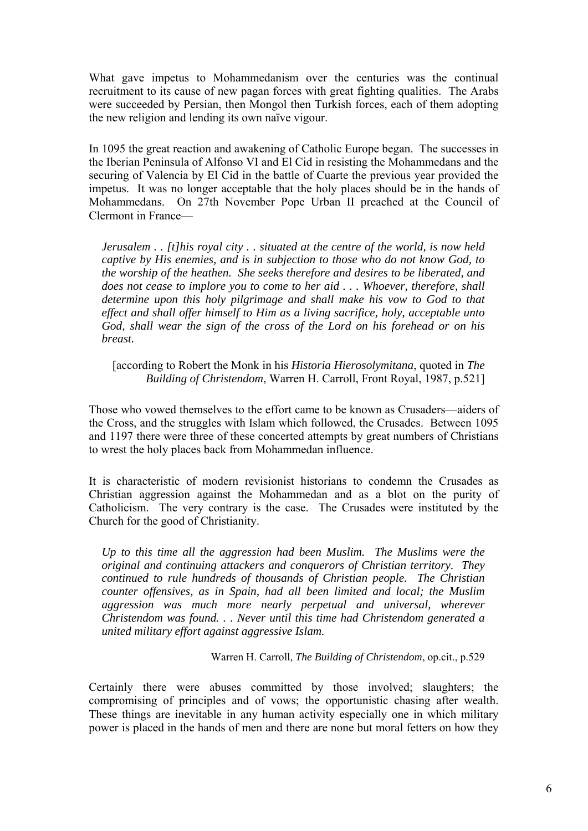What gave impetus to Mohammedanism over the centuries was the continual recruitment to its cause of new pagan forces with great fighting qualities. The Arabs were succeeded by Persian, then Mongol then Turkish forces, each of them adopting the new religion and lending its own naïve vigour.

In 1095 the great reaction and awakening of Catholic Europe began. The successes in the Iberian Peninsula of Alfonso VI and El Cid in resisting the Mohammedans and the securing of Valencia by El Cid in the battle of Cuarte the previous year provided the impetus. It was no longer acceptable that the holy places should be in the hands of Mohammedans. On 27th November Pope Urban II preached at the Council of Clermont in France––

*Jerusalem . . [t]his royal city . . situated at the centre of the world, is now held captive by His enemies, and is in subjection to those who do not know God, to the worship of the heathen. She seeks therefore and desires to be liberated, and does not cease to implore you to come to her aid . . . Whoever, therefore, shall determine upon this holy pilgrimage and shall make his vow to God to that effect and shall offer himself to Him as a living sacrifice, holy, acceptable unto God, shall wear the sign of the cross of the Lord on his forehead or on his breast.* 

[according to Robert the Monk in his *Historia Hierosolymitana*, quoted in *The Building of Christendom*, Warren H. Carroll, Front Royal, 1987, p.521]

Those who vowed themselves to the effort came to be known as Crusaders––aiders of the Cross, and the struggles with Islam which followed, the Crusades. Between 1095 and 1197 there were three of these concerted attempts by great numbers of Christians to wrest the holy places back from Mohammedan influence.

It is characteristic of modern revisionist historians to condemn the Crusades as Christian aggression against the Mohammedan and as a blot on the purity of Catholicism. The very contrary is the case. The Crusades were instituted by the Church for the good of Christianity.

*Up to this time all the aggression had been Muslim. The Muslims were the original and continuing attackers and conquerors of Christian territory. They continued to rule hundreds of thousands of Christian people. The Christian counter offensives, as in Spain, had all been limited and local; the Muslim aggression was much more nearly perpetual and universal, wherever Christendom was found. . . Never until this time had Christendom generated a united military effort against aggressive Islam.* 

Warren H. Carroll, *The Building of Christendom*, op.cit., p.529

Certainly there were abuses committed by those involved; slaughters; the compromising of principles and of vows; the opportunistic chasing after wealth. These things are inevitable in any human activity especially one in which military power is placed in the hands of men and there are none but moral fetters on how they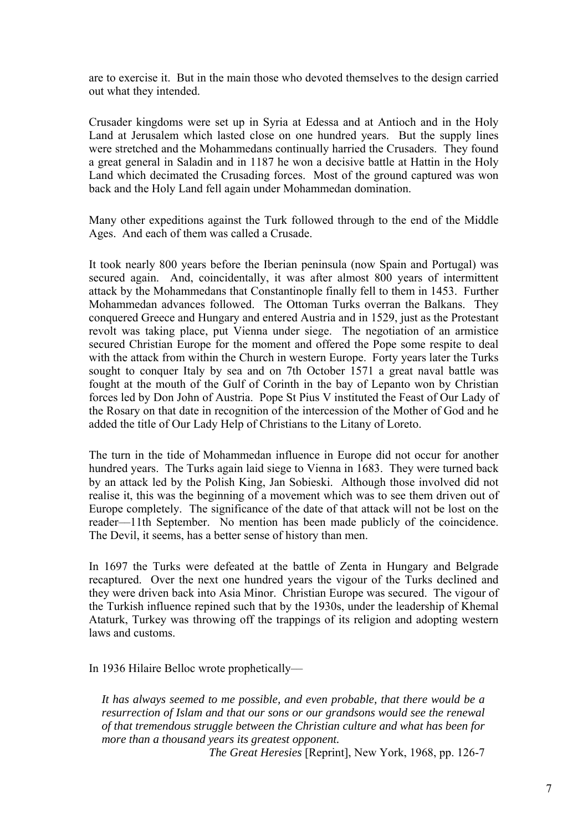are to exercise it. But in the main those who devoted themselves to the design carried out what they intended.

Crusader kingdoms were set up in Syria at Edessa and at Antioch and in the Holy Land at Jerusalem which lasted close on one hundred years. But the supply lines were stretched and the Mohammedans continually harried the Crusaders. They found a great general in Saladin and in 1187 he won a decisive battle at Hattin in the Holy Land which decimated the Crusading forces. Most of the ground captured was won back and the Holy Land fell again under Mohammedan domination.

Many other expeditions against the Turk followed through to the end of the Middle Ages. And each of them was called a Crusade.

It took nearly 800 years before the Iberian peninsula (now Spain and Portugal) was secured again. And, coincidentally, it was after almost 800 years of intermittent attack by the Mohammedans that Constantinople finally fell to them in 1453. Further Mohammedan advances followed. The Ottoman Turks overran the Balkans. They conquered Greece and Hungary and entered Austria and in 1529, just as the Protestant revolt was taking place, put Vienna under siege. The negotiation of an armistice secured Christian Europe for the moment and offered the Pope some respite to deal with the attack from within the Church in western Europe. Forty years later the Turks sought to conquer Italy by sea and on 7th October 1571 a great naval battle was fought at the mouth of the Gulf of Corinth in the bay of Lepanto won by Christian forces led by Don John of Austria. Pope St Pius V instituted the Feast of Our Lady of the Rosary on that date in recognition of the intercession of the Mother of God and he added the title of Our Lady Help of Christians to the Litany of Loreto.

The turn in the tide of Mohammedan influence in Europe did not occur for another hundred years. The Turks again laid siege to Vienna in 1683. They were turned back by an attack led by the Polish King, Jan Sobieski. Although those involved did not realise it, this was the beginning of a movement which was to see them driven out of Europe completely. The significance of the date of that attack will not be lost on the reader––11th September. No mention has been made publicly of the coincidence. The Devil, it seems, has a better sense of history than men.

In 1697 the Turks were defeated at the battle of Zenta in Hungary and Belgrade recaptured. Over the next one hundred years the vigour of the Turks declined and they were driven back into Asia Minor. Christian Europe was secured. The vigour of the Turkish influence repined such that by the 1930s, under the leadership of Khemal Ataturk, Turkey was throwing off the trappings of its religion and adopting western laws and customs.

In 1936 Hilaire Belloc wrote prophetically––

*It has always seemed to me possible, and even probable, that there would be a resurrection of Islam and that our sons or our grandsons would see the renewal of that tremendous struggle between the Christian culture and what has been for more than a thousand years its greatest opponent.*

*The Great Heresies* [Reprint], New York, 1968, pp. 126-7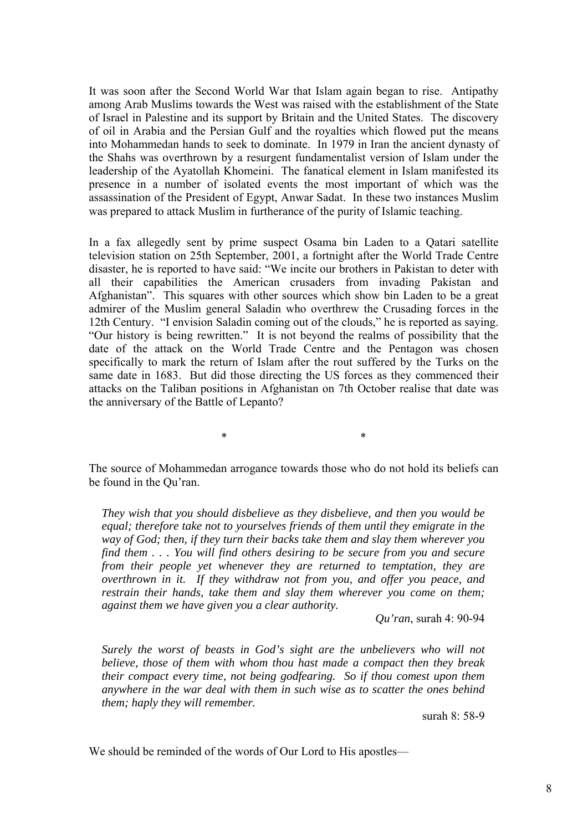It was soon after the Second World War that Islam again began to rise. Antipathy among Arab Muslims towards the West was raised with the establishment of the State of Israel in Palestine and its support by Britain and the United States. The discovery of oil in Arabia and the Persian Gulf and the royalties which flowed put the means into Mohammedan hands to seek to dominate. In 1979 in Iran the ancient dynasty of the Shahs was overthrown by a resurgent fundamentalist version of Islam under the leadership of the Ayatollah Khomeini. The fanatical element in Islam manifested its presence in a number of isolated events the most important of which was the assassination of the President of Egypt, Anwar Sadat. In these two instances Muslim was prepared to attack Muslim in furtherance of the purity of Islamic teaching.

In a fax allegedly sent by prime suspect Osama bin Laden to a Qatari satellite television station on 25th September, 2001, a fortnight after the World Trade Centre disaster, he is reported to have said: "We incite our brothers in Pakistan to deter with all their capabilities the American crusaders from invading Pakistan and Afghanistan". This squares with other sources which show bin Laden to be a great admirer of the Muslim general Saladin who overthrew the Crusading forces in the 12th Century. "I envision Saladin coming out of the clouds," he is reported as saying. "Our history is being rewritten." It is not beyond the realms of possibility that the date of the attack on the World Trade Centre and the Pentagon was chosen specifically to mark the return of Islam after the rout suffered by the Turks on the same date in 1683. But did those directing the US forces as they commenced their attacks on the Taliban positions in Afghanistan on 7th October realise that date was the anniversary of the Battle of Lepanto?

\* \*

The source of Mohammedan arrogance towards those who do not hold its beliefs can be found in the Qu'ran.

*They wish that you should disbelieve as they disbelieve, and then you would be equal; therefore take not to yourselves friends of them until they emigrate in the way of God; then, if they turn their backs take them and slay them wherever you find them . . . You will find others desiring to be secure from you and secure from their people yet whenever they are returned to temptation, they are overthrown in it. If they withdraw not from you, and offer you peace, and restrain their hands, take them and slay them wherever you come on them; against them we have given you a clear authority.*

*Qu'ran*, surah 4: 90-94

*Surely the worst of beasts in God's sight are the unbelievers who will not believe, those of them with whom thou hast made a compact then they break their compact every time, not being godfearing. So if thou comest upon them anywhere in the war deal with them in such wise as to scatter the ones behind them; haply they will remember.* 

surah 8: 58-9

We should be reminded of the words of Our Lord to His apostles—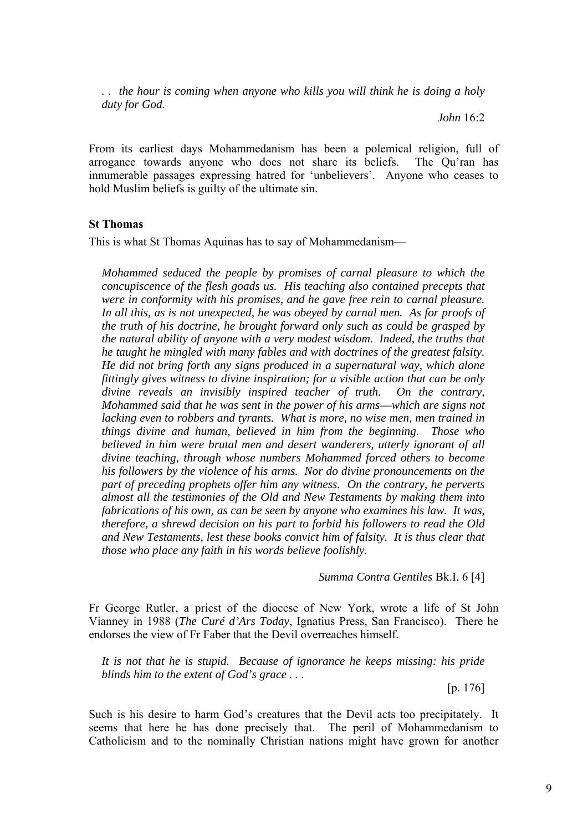*. . the hour is coming when anyone who kills you will think he is doing a holy duty for God.* 

*John* 16:2

From its earliest days Mohammedanism has been a polemical religion, full of arrogance towards anyone who does not share its beliefs. The Qu'ran has innumerable passages expressing hatred for 'unbelievers'. Anyone who ceases to hold Muslim beliefs is guilty of the ultimate sin.

### **St Thomas**

This is what St Thomas Aquinas has to say of Mohammedanism––

*Mohammed seduced the people by promises of carnal pleasure to which the concupiscence of the flesh goads us. His teaching also contained precepts that were in conformity with his promises, and he gave free rein to carnal pleasure.*  In all this, as is not unexpected, he was obeyed by carnal men. As for proofs of *the truth of his doctrine, he brought forward only such as could be grasped by the natural ability of anyone with a very modest wisdom. Indeed, the truths that he taught he mingled with many fables and with doctrines of the greatest falsity. He did not bring forth any signs produced in a supernatural way, which alone fittingly gives witness to divine inspiration; for a visible action that can be only divine reveals an invisibly inspired teacher of truth. On the contrary, Mohammed said that he was sent in the power of his arms––which are signs not lacking even to robbers and tyrants. What is more, no wise men, men trained in things divine and human, believed in him from the beginning. Those who believed in him were brutal men and desert wanderers, utterly ignorant of all divine teaching, through whose numbers Mohammed forced others to become his followers by the violence of his arms. Nor do divine pronouncements on the part of preceding prophets offer him any witness. On the contrary, he perverts almost all the testimonies of the Old and New Testaments by making them into fabrications of his own, as can be seen by anyone who examines his law. It was, therefore, a shrewd decision on his part to forbid his followers to read the Old and New Testaments, lest these books convict him of falsity. It is thus clear that those who place any faith in his words believe foolishly.* 

*Summa Contra Gentiles* Bk.I, 6 [4]

Fr George Rutler, a priest of the diocese of New York, wrote a life of St John Vianney in 1988 (*The Curé d'Ars Today*, Ignatius Press, San Francisco). There he endorses the view of Fr Faber that the Devil overreaches himself.

*It is not that he is stupid. Because of ignorance he keeps missing: his pride blinds him to the extent of God's grace . . .* 

[p. 176]

Such is his desire to harm God's creatures that the Devil acts too precipitately. It seems that here he has done precisely that. The peril of Mohammedanism to Catholicism and to the nominally Christian nations might have grown for another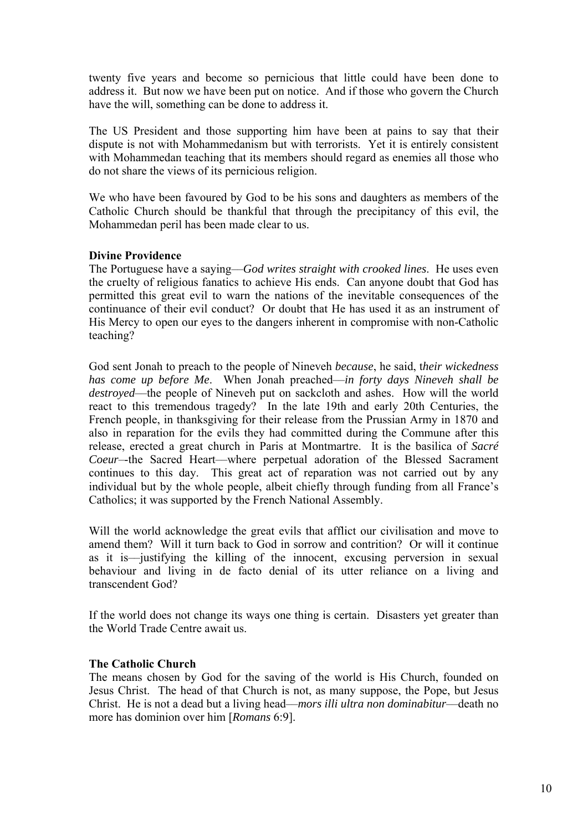twenty five years and become so pernicious that little could have been done to address it. But now we have been put on notice. And if those who govern the Church have the will, something can be done to address it.

The US President and those supporting him have been at pains to say that their dispute is not with Mohammedanism but with terrorists. Yet it is entirely consistent with Mohammedan teaching that its members should regard as enemies all those who do not share the views of its pernicious religion.

We who have been favoured by God to be his sons and daughters as members of the Catholic Church should be thankful that through the precipitancy of this evil, the Mohammedan peril has been made clear to us.

# **Divine Providence**

The Portuguese have a saying––*God writes straight with crooked lines*. He uses even the cruelty of religious fanatics to achieve His ends. Can anyone doubt that God has permitted this great evil to warn the nations of the inevitable consequences of the continuance of their evil conduct? Or doubt that He has used it as an instrument of His Mercy to open our eyes to the dangers inherent in compromise with non-Catholic teaching?

God sent Jonah to preach to the people of Nineveh *because*, he said, t*heir wickedness has come up before Me*. When Jonah preached––*in forty days Nineveh shall be destroyed*––the people of Nineveh put on sackcloth and ashes. How will the world react to this tremendous tragedy? In the late 19th and early 20th Centuries, the French people, in thanksgiving for their release from the Prussian Army in 1870 and also in reparation for the evils they had committed during the Commune after this release, erected a great church in Paris at Montmartre. It is the basilica of *Sacré Coeur*–-the Sacred Heart––where perpetual adoration of the Blessed Sacrament continues to this day. This great act of reparation was not carried out by any individual but by the whole people, albeit chiefly through funding from all France's Catholics; it was supported by the French National Assembly.

Will the world acknowledge the great evils that afflict our civilisation and move to amend them? Will it turn back to God in sorrow and contrition? Or will it continue as it is––justifying the killing of the innocent, excusing perversion in sexual behaviour and living in de facto denial of its utter reliance on a living and transcendent God?

If the world does not change its ways one thing is certain. Disasters yet greater than the World Trade Centre await us.

## **The Catholic Church**

The means chosen by God for the saving of the world is His Church, founded on Jesus Christ. The head of that Church is not, as many suppose, the Pope, but Jesus Christ. He is not a dead but a living head––*mors illi ultra non dominabitur*––death no more has dominion over him [*Romans* 6:9].